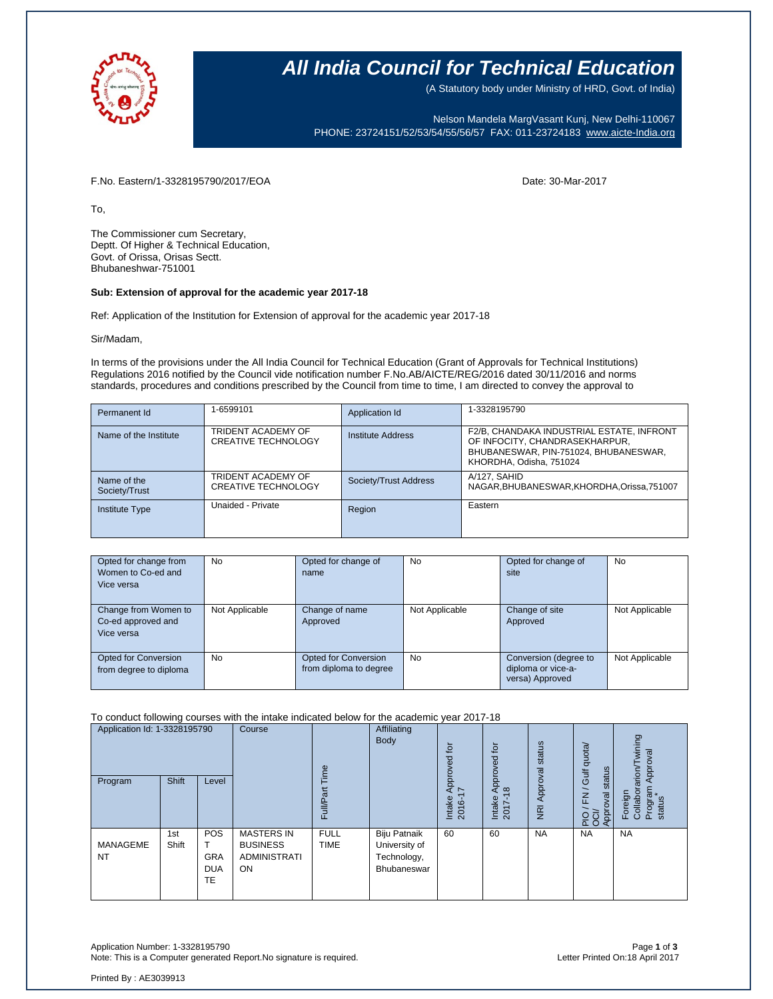

### **All India Council for Technical Education**

(A Statutory body under Ministry of HRD, Govt. of India)

Nelson Mandela MargVasant Kunj, New Delhi-110067 PHONE: 23724151/52/53/54/55/56/57 FAX: 011-23724183 [www.aicte-India.org](http://www.aicte-india.org/)

F.No. Eastern/1-3328195790/2017/EOA Date: 30-Mar-2017

To,

The Commissioner cum Secretary, Deptt. Of Higher & Technical Education, Govt. of Orissa, Orisas Sectt. Bhubaneshwar-751001

#### **Sub: Extension of approval for the academic year 2017-18**

Ref: Application of the Institution for Extension of approval for the academic year 2017-18

Sir/Madam,

In terms of the provisions under the All India Council for Technical Education (Grant of Approvals for Technical Institutions) Regulations 2016 notified by the Council vide notification number F.No.AB/AICTE/REG/2016 dated 30/11/2016 and norms standards, procedures and conditions prescribed by the Council from time to time, I am directed to convey the approval to

| Permanent Id                 | 1-6599101                                        | Application Id        | 1-3328195790                                                                                                                                    |
|------------------------------|--------------------------------------------------|-----------------------|-------------------------------------------------------------------------------------------------------------------------------------------------|
| Name of the Institute        | TRIDENT ACADEMY OF<br><b>CREATIVE TECHNOLOGY</b> | Institute Address     | F2/B, CHANDAKA INDUSTRIAL ESTATE, INFRONT<br>OF INFOCITY, CHANDRASEKHARPUR,<br>BHUBANESWAR, PIN-751024, BHUBANESWAR,<br>KHORDHA, Odisha, 751024 |
| Name of the<br>Society/Trust | TRIDENT ACADEMY OF<br><b>CREATIVE TECHNOLOGY</b> | Society/Trust Address | A/127, SAHID<br>NAGAR, BHUBANESWAR, KHORDHA, Orissa, 751007                                                                                     |
| <b>Institute Type</b>        | Unaided - Private                                | Region                | Eastern                                                                                                                                         |

| Opted for change from<br>Women to Co-ed and<br>Vice versa | <b>No</b>      | Opted for change of<br>name                    | No             | Opted for change of<br>site                                    | No             |
|-----------------------------------------------------------|----------------|------------------------------------------------|----------------|----------------------------------------------------------------|----------------|
| Change from Women to<br>Co-ed approved and<br>Vice versa  | Not Applicable | Change of name<br>Approved                     | Not Applicable | Change of site<br>Approved                                     | Not Applicable |
| <b>Opted for Conversion</b><br>from degree to diploma     | No.            | Opted for Conversion<br>from diploma to degree | <b>No</b>      | Conversion (degree to<br>diploma or vice-a-<br>versa) Approved | Not Applicable |

To conduct following courses with the intake indicated below for the academic year 2017-18

| Application Id: 1-3328195790 |              | Course                                       | eui                                                                      | Affiliating<br>Body        | tō<br><u>ट</u>                                                     | $\overline{5}$<br>pproved                     | status                               | Gulf quota/                | wining<br>Approval                                                     |                                                        |
|------------------------------|--------------|----------------------------------------------|--------------------------------------------------------------------------|----------------------------|--------------------------------------------------------------------|-----------------------------------------------|--------------------------------------|----------------------------|------------------------------------------------------------------------|--------------------------------------------------------|
| Program                      | <b>Shift</b> | Level                                        |                                                                          | ull/Pai<br>ш               |                                                                    | Approv<br>$\sim$<br>Intake<br><u>ن</u><br>201 | $\frac{8}{16}$<br>Intake<br>$2017 -$ | Approval<br>$\overline{R}$ | status<br>$\overline{\phantom{0}}$<br>$\overline{K}$<br>Approval<br>운영 | $r$ arion/<br>Program<br>status<br>Foreign<br>Collabor |
| MANAGEME<br><b>NT</b>        | 1st<br>Shift | <b>POS</b><br><b>GRA</b><br><b>DUA</b><br>TE | <b>MASTERS IN</b><br><b>BUSINESS</b><br><b>ADMINISTRATI</b><br><b>ON</b> | <b>FULL</b><br><b>TIME</b> | Biju Patnaik<br>University of<br>Technology,<br><b>Bhubaneswar</b> | 60                                            | 60                                   | <b>NA</b>                  | <b>NA</b>                                                              | <b>NA</b>                                              |

Application Number: 1-3328195790 Page **1** of **3** Note: This is a Computer generated Report. No signature is required.

Printed By : AE3039913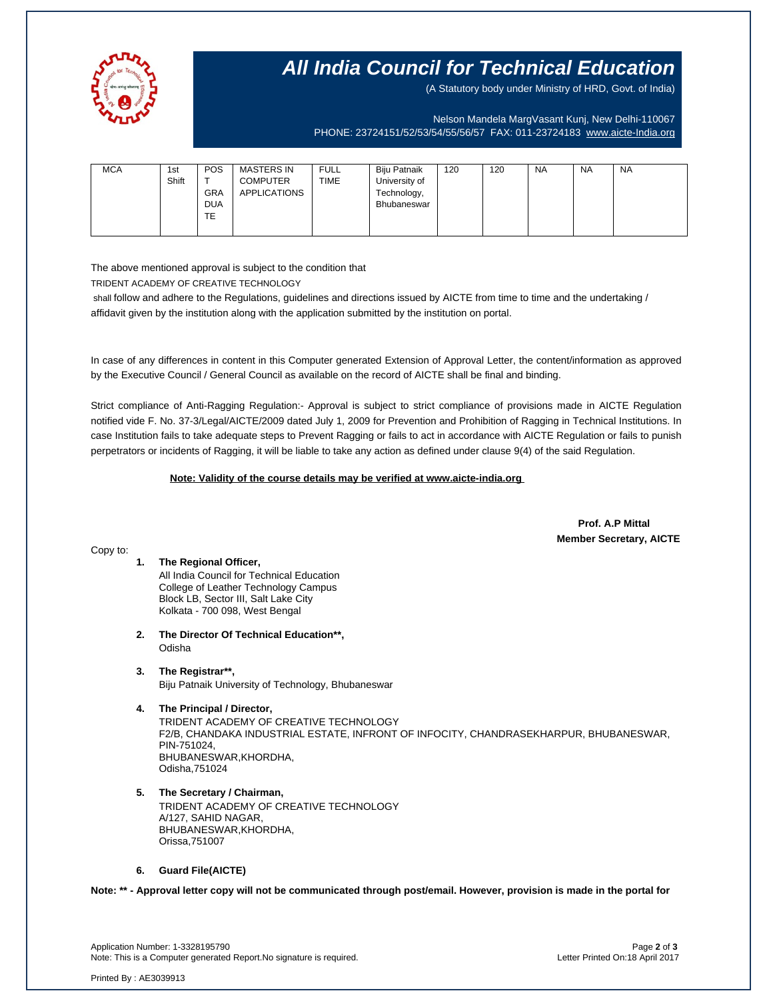

## **All India Council for Technical Education**

(A Statutory body under Ministry of HRD, Govt. of India)

Nelson Mandela MargVasant Kunj, New Delhi-110067 PHONE: 23724151/52/53/54/55/56/57 FAX: 011-23724183 [www.aicte-India.org](http://www.aicte-india.org/)

| Shift<br>$\mathbf$<br><b>TIME</b><br>University of<br><b>COMPUTER</b><br><b>APPLICATIONS</b><br><b>GRA</b><br>Technology,<br><b>DUA</b><br>Bhubaneswar<br>TE | <b>MCA</b> | <b>POS</b><br>1st | <b>MASTERS IN</b> | <b>FULL</b> | Biju Patnaik | 120 | 120 | <b>NA</b> | <b>NA</b> | <b>NA</b> |
|--------------------------------------------------------------------------------------------------------------------------------------------------------------|------------|-------------------|-------------------|-------------|--------------|-----|-----|-----------|-----------|-----------|
|--------------------------------------------------------------------------------------------------------------------------------------------------------------|------------|-------------------|-------------------|-------------|--------------|-----|-----|-----------|-----------|-----------|

The above mentioned approval is subject to the condition that

TRIDENT ACADEMY OF CREATIVE TECHNOLOGY

shall follow and adhere to the Regulations, guidelines and directions issued by AICTE from time to time and the undertaking / affidavit given by the institution along with the application submitted by the institution on portal.

In case of any differences in content in this Computer generated Extension of Approval Letter, the content/information as approved by the Executive Council / General Council as available on the record of AICTE shall be final and binding.

Strict compliance of Anti-Ragging Regulation:- Approval is subject to strict compliance of provisions made in AICTE Regulation notified vide F. No. 37-3/Legal/AICTE/2009 dated July 1, 2009 for Prevention and Prohibition of Ragging in Technical Institutions. In case Institution fails to take adequate steps to Prevent Ragging or fails to act in accordance with AICTE Regulation or fails to punish perpetrators or incidents of Ragging, it will be liable to take any action as defined under clause 9(4) of the said Regulation.

 **Note: Validity of the course details may be verified at www.aicte-india.org** 

 **Prof. A.P Mittal Member Secretary, AICTE**

Copy to:

- **1. The Regional Officer,** All India Council for Technical Education College of Leather Technology Campus Block LB, Sector III, Salt Lake City Kolkata - 700 098, West Bengal
- **2. The Director Of Technical Education\*\*,** Odisha
- **3. The Registrar\*\*,** Biju Patnaik University of Technology, Bhubaneswar
- **4. The Principal / Director,** TRIDENT ACADEMY OF CREATIVE TECHNOLOGY F2/B, CHANDAKA INDUSTRIAL ESTATE, INFRONT OF INFOCITY, CHANDRASEKHARPUR, BHUBANESWAR, PIN-751024, BHUBANESWAR,KHORDHA, Odisha,751024
- **5. The Secretary / Chairman,** TRIDENT ACADEMY OF CREATIVE TECHNOLOGY A/127, SAHID NAGAR, BHUBANESWAR,KHORDHA, Orissa,751007

### **6. Guard File(AICTE)**

**Note: \*\* - Approval letter copy will not be communicated through post/email. However, provision is made in the portal for** 

Application Number: 1-3328195790 Page **2** of **3** Note: This is a Computer generated Report.No signature is required.